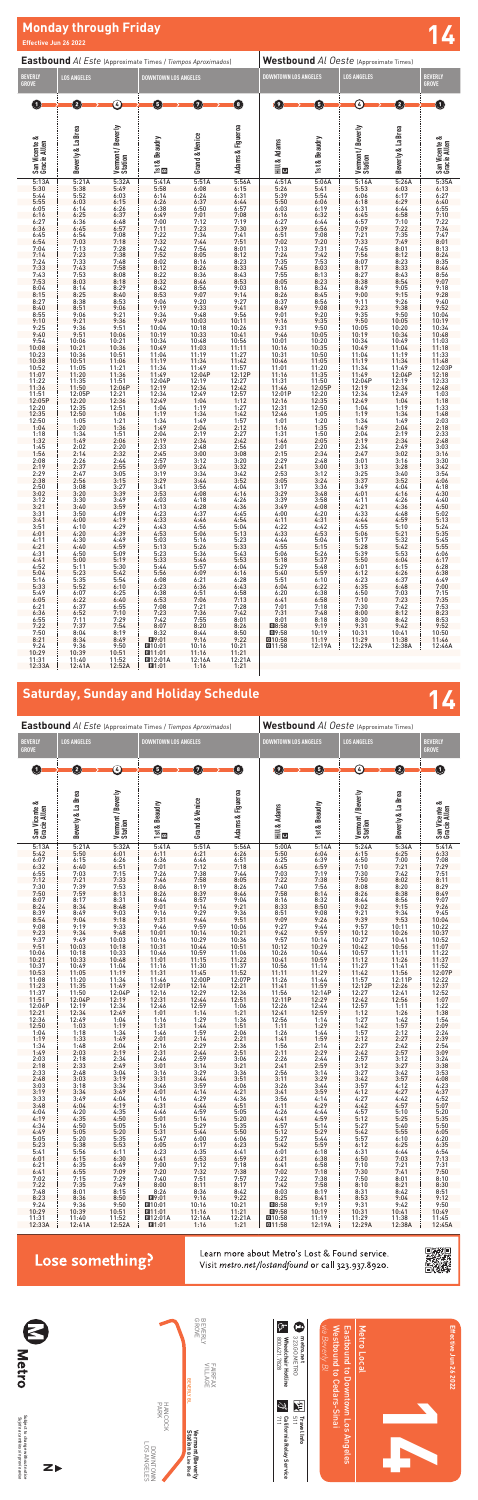



| 5:42   | 5:50                                        | 6:01                                                       | 6:11                                         | 6:21                                                                                                                                                                                                                                                                               | 6:26                                                    | 5:50                                                                  | 6:04                           | 6:15                                                                                                                                   | 6:25                                             | 6:33                                                                              |
|--------|---------------------------------------------|------------------------------------------------------------|----------------------------------------------|------------------------------------------------------------------------------------------------------------------------------------------------------------------------------------------------------------------------------------------------------------------------------------|---------------------------------------------------------|-----------------------------------------------------------------------|--------------------------------|----------------------------------------------------------------------------------------------------------------------------------------|--------------------------------------------------|-----------------------------------------------------------------------------------|
| 6:07   | 6:15                                        | 6:26                                                       | 6:36                                         | 6:46                                                                                                                                                                                                                                                                               | 6:51                                                    | 6:25                                                                  |                                | 6:50                                                                                                                                   |                                                  |                                                                                   |
| 6:32   | 6:40                                        | 6:51                                                       | 7:01                                         | 7:12                                                                                                                                                                                                                                                                               | 7:18                                                    | 6:45                                                                  | $6:39$<br>$6:59$               | 7:10                                                                                                                                   | $7:00$<br>$7:21$                                 | $7:08$<br>$7:29$<br>$7:51$                                                        |
| 6:55   | 7:03                                        | 7:15                                                       | 7:26                                         |                                                                                                                                                                                                                                                                                    |                                                         | 7:03                                                                  | 7:19                           | 7:30                                                                                                                                   | 7:42                                             |                                                                                   |
| 7:12   | 7:21                                        | 7:33                                                       | 7:46                                         | $7:38$ $7:44$<br>$7:58$ $8:05$                                                                                                                                                                                                                                                     |                                                         | 7:22                                                                  | 7:38                           | 7:50                                                                                                                                   | 8:02                                             | 8:11                                                                              |
|        | 7:39                                        |                                                            | 8:06                                         | 8:19                                                                                                                                                                                                                                                                               | 8:26                                                    |                                                                       |                                | 8:08                                                                                                                                   |                                                  |                                                                                   |
| 7:30   | 7:59                                        | $7:53$<br>8:13                                             | 8:26                                         | $8:19$ $8:26$<br>$8:39$ $8:46$                                                                                                                                                                                                                                                     |                                                         |                                                                       | $7:40$ $7:56$<br>$7:58$ $8:14$ | 8:26                                                                                                                                   | $8:20$<br>$8:38$                                 | $8:29$<br>$8:49$                                                                  |
| 7:50   |                                             |                                                            |                                              |                                                                                                                                                                                                                                                                                    |                                                         |                                                                       |                                |                                                                                                                                        |                                                  |                                                                                   |
| 8:07   | 8:17                                        | 8:31                                                       | $8:44$<br>9:01                               | 8:57                                                                                                                                                                                                                                                                               | 9:04                                                    | 8:16                                                                  | 8:32                           | 8:44<br>9:02                                                                                                                           | 8:56                                             | 9:07                                                                              |
| 8:24   | 8:34                                        | 8:48                                                       |                                              | 9:14                                                                                                                                                                                                                                                                               | 9:21                                                    | 8:33<br>8:50<br>8:51 9:08<br>9:09 9:26                                |                                |                                                                                                                                        |                                                  |                                                                                   |
| 8:39   | 8:49                                        | 9:03                                                       | 9:16<br>$9:16$<br>$9:31$                     | 9:29                                                                                                                                                                                                                                                                               | 9:36                                                    |                                                                       |                                | 9:21                                                                                                                                   |                                                  |                                                                                   |
| 8:54   | 9:04                                        | 9:18                                                       |                                              | $9.44$ $9.51$<br>$9.59$ $10.06$<br>$10.14$ $10.21$                                                                                                                                                                                                                                 |                                                         |                                                                       |                                | 9:39                                                                                                                                   | $9:15$<br>$9:34$<br>$9:53$<br>$10:11$<br>$10:26$ | $9:26$<br>$9:45$<br>$10:04$<br>$10:22$<br>$10:37$                                 |
| 9:08   | 9:19                                        | $9:33$<br>$9:48$                                           | $9:46$<br>10:01                              |                                                                                                                                                                                                                                                                                    |                                                         | $9:27$ $9:44$<br>$9:42$ $9:59$                                        |                                | 9:57                                                                                                                                   |                                                  |                                                                                   |
| 9:23   | 9:34                                        |                                                            |                                              |                                                                                                                                                                                                                                                                                    |                                                         |                                                                       |                                | 10:12                                                                                                                                  |                                                  |                                                                                   |
| 9:37   | 9:49                                        | 10:03                                                      | 10:16                                        | 10:29 10:36<br>10:44 10:51                                                                                                                                                                                                                                                         |                                                         | 9:57                                                                  | $\frac{10:14}{10:29}$          | $10.27$ 10.41 10.52<br>$10.42$ 10.56 11.07<br>$10.57$ 11.11 11.22<br>$11.12$ 11.24 11.37                                               |                                                  |                                                                                   |
| 9:51   | 10:03                                       | 10:18                                                      | 10:31                                        |                                                                                                                                                                                                                                                                                    |                                                         | 10:12                                                                 |                                |                                                                                                                                        |                                                  |                                                                                   |
| 10:06  |                                             |                                                            |                                              |                                                                                                                                                                                                                                                                                    |                                                         |                                                                       |                                |                                                                                                                                        |                                                  |                                                                                   |
| 10:21  | $\frac{10:18}{10:33}$                       | $\frac{10:33}{10:48}$                                      |                                              |                                                                                                                                                                                                                                                                                    |                                                         | $10:26$ $10:44$<br>$10:41$ $10:59$                                    |                                |                                                                                                                                        |                                                  |                                                                                   |
| 10:37  |                                             |                                                            |                                              |                                                                                                                                                                                                                                                                                    |                                                         | 10:56                                                                 |                                |                                                                                                                                        |                                                  |                                                                                   |
| 10:53  | $10:49$<br>11:05                            | $\frac{11:04}{11:19}$                                      | 41                                           | $\begin{array}{cccc} 10:31 & 10:44 & 10:51 \\ 10:46 & 10:59 & 11:22 \\ 11:16 & 11:31 & 11:32 \\ 11:31 & 11:45 & 11:37 \\ 11:32 & 11:46 & 11:52 \\ 11:46 & 12:00P & 12:10P \\ 12:01P & 12:14 & 12:21 \\ 12:16 & 12:29 & 12:36 \\ 12:31 & 12:44 & 12:51 \\ 12:31 & 12:44 & 12:51 \\$ |                                                         | 11:11                                                                 | $\frac{11:14}{11:29}$          | $\begin{array}{c} 11.27 \\ 11.42 \\ 11.57 \end{array}$                                                                                 | $\frac{11:41}{11:56}$<br>12:11P                  | $\begin{array}{r} 11.52 \\ 12.07 \text{P} \\ 12.22 \\ 12.37 \\ 12.52 \end{array}$ |
| 11:08  | 11:20                                       | 11:34                                                      |                                              |                                                                                                                                                                                                                                                                                    |                                                         | $11:26$<br>11:26 11:44<br>11:41 11:59<br>11:56 12:14P<br>12:11P 12:29 |                                |                                                                                                                                        |                                                  |                                                                                   |
| 11:23  | 11:35 11:49<br>11:50 12:04P<br>12:04P 12:19 | $11:49$<br>$12:04P$                                        |                                              |                                                                                                                                                                                                                                                                                    |                                                         |                                                                       |                                | $\begin{array}{ c c c c }\n\hline\n & 11:57 & 12:11.1 \\  & 12:12P & 12:26 \\  & 12:27 & 12:41 \\  & 12:56 & & \\ \hline\n\end{array}$ |                                                  |                                                                                   |
| 11:37  |                                             |                                                            |                                              |                                                                                                                                                                                                                                                                                    |                                                         |                                                                       |                                |                                                                                                                                        |                                                  |                                                                                   |
| 11:51  |                                             |                                                            |                                              |                                                                                                                                                                                                                                                                                    |                                                         |                                                                       |                                | 12:27 12:41<br>12:42 12:56                                                                                                             |                                                  | $12:52$<br>$1:07$                                                                 |
| 12:06P |                                             |                                                            |                                              |                                                                                                                                                                                                                                                                                    |                                                         |                                                                       |                                |                                                                                                                                        |                                                  |                                                                                   |
| 12:21  | $12:19$<br>$12:34$                          | $12:34$<br>$12:49$                                         | $12:46$ $12:59$ $1:06$<br>1:01 $1:14$ $1:21$ |                                                                                                                                                                                                                                                                                    |                                                         | $\frac{12:26}{12:41}$                                                 | $12:44$<br>$12:59$             | $\frac{12.57}{1.12}$                                                                                                                   |                                                  | $1:22$<br>$1:38$                                                                  |
| 12:36  | 12:49                                       | 1:04                                                       | 1:16                                         | 1:29                                                                                                                                                                                                                                                                               | 1:36                                                    |                                                                       |                                | 1:27                                                                                                                                   | $1:11$<br>$1:26$<br>$1:42$<br>$1:57$             | $1:54$<br>$2:09$<br>$2:24$<br>$2:39$                                              |
| 12:50  | 1:03                                        | 1:19                                                       | 1:31                                         | $1:44$ $1:51$                                                                                                                                                                                                                                                                      |                                                         | $12:56$ $1:14$<br>1:11 $1:29$                                         |                                | 1:42                                                                                                                                   |                                                  |                                                                                   |
| 1:04   | 1:18                                        | 1:34                                                       | 1:46                                         | 1:59                                                                                                                                                                                                                                                                               | 2:06                                                    | 1:26                                                                  | 1:44                           | 1:57                                                                                                                                   | 2:12                                             |                                                                                   |
|        | 1:33                                        | 1:49                                                       | $\begin{array}{c} 1:46 \\ 2:01 \end{array}$  | 2:14                                                                                                                                                                                                                                                                               |                                                         | $1:41$ $1:59$                                                         |                                | 2:12                                                                                                                                   | 2:27                                             |                                                                                   |
| 1:19   |                                             |                                                            |                                              |                                                                                                                                                                                                                                                                                    | $2:21$<br>$2:36$<br>$2:51$                              |                                                                       |                                |                                                                                                                                        |                                                  |                                                                                   |
| 1:34   | $1:48$<br>$2:03$                            | $2:04$<br>$2:19$                                           | $2:16$<br>$2:31$                             | 2:29<br>2:44                                                                                                                                                                                                                                                                       |                                                         | $1:56$ $2:14$<br>$2:11$ $2:29$                                        |                                | $2:27$<br>$2:42$                                                                                                                       | $2:42$<br>$2:57$                                 | $2:54$<br>$3:09$                                                                  |
| 1:49   |                                             |                                                            |                                              |                                                                                                                                                                                                                                                                                    |                                                         |                                                                       |                                |                                                                                                                                        |                                                  |                                                                                   |
| 2:03   | 2:18                                        | 2:34<br>2:49                                               | $2:46$<br>$3:01$                             | 2:59                                                                                                                                                                                                                                                                               | $3:06$<br>$3:21$                                        | 2:26 2:44<br>2:41 2:59                                                |                                | 2:57                                                                                                                                   | $3:12$<br>$3:27$                                 | $3:24$<br>$3:38$                                                                  |
| 2:18   | 2:33                                        |                                                            |                                              | 3:14                                                                                                                                                                                                                                                                               |                                                         |                                                                       |                                | 3:12                                                                                                                                   |                                                  |                                                                                   |
| 2:33   | $2:48$<br>$3:03$                            | 3:04                                                       | 3:16                                         | $3:29$ $3:36$<br>$3:44$ $3:51$                                                                                                                                                                                                                                                     |                                                         | 2:56                                                                  | $3:14$<br>$3:29$               | 3:27                                                                                                                                   | $3:42$<br>$3:57$                                 | $3:53$<br>$4:08$<br>$4:23$<br>$4:37$                                              |
| 2:48   |                                             | 3:19                                                       | 3:31                                         |                                                                                                                                                                                                                                                                                    |                                                         | 3:11                                                                  |                                | 3:42                                                                                                                                   |                                                  |                                                                                   |
| 3:03   | 3:18                                        | 3:34                                                       | 3:46                                         | 3:59                                                                                                                                                                                                                                                                               | 4:06                                                    | 3:26<br>3:26<br>3:41                                                  | $3:44$<br>$3:59$               | 3:57                                                                                                                                   | $4:12$<br>$4:27$                                 |                                                                                   |
| 3:19   | 3:34                                        | 3:49                                                       | 4:01                                         | 4:14                                                                                                                                                                                                                                                                               | 4:21                                                    |                                                                       |                                | 4:12                                                                                                                                   |                                                  |                                                                                   |
| 3:33   | 3:49                                        | 4:04                                                       | 4:16                                         | 4:29                                                                                                                                                                                                                                                                               | 4:36<br>$4:36$<br>$4:51$                                | 3:56                                                                  | 4:14                           | 4:27<br>$4:27$<br>$4:42$                                                                                                               | 4:42                                             |                                                                                   |
| 3:48   | 4:04                                        | 4:19                                                       | 4:31                                         | 4:44                                                                                                                                                                                                                                                                               |                                                         | $3:56$ $4:14$<br>$4:11$ $4:29$                                        |                                |                                                                                                                                        | 4:57                                             |                                                                                   |
| 4:04   | 4:20                                        | 4:35                                                       | 4:46                                         | 4:59                                                                                                                                                                                                                                                                               | 5:05                                                    | $4:26$ $4:44$<br>$4:41$ $4:59$                                        |                                | 4:57                                                                                                                                   | 5:10                                             | $4:52$<br>$5:07$<br>$5:20$                                                        |
| 4:19   | 4:35                                        | 4:50                                                       | 5:01                                         | $5:14$ $5:20$                                                                                                                                                                                                                                                                      |                                                         |                                                                       |                                | 5:12                                                                                                                                   | 5:25                                             | 5:35                                                                              |
| 4:34   | 4:50                                        | 5:05                                                       | 5:16                                         | $5:29$ $5:35$<br>$5:44$ $5:50$                                                                                                                                                                                                                                                     |                                                         | 4:57                                                                  | $\frac{5:14}{5:29}$            | $5:27$<br>$5:42$                                                                                                                       | $\frac{5:40}{5:55}$                              | $5:50$<br>$6:05$                                                                  |
| 4:49   | 5:05                                        | 5:20                                                       | 5:31                                         |                                                                                                                                                                                                                                                                                    |                                                         | 5:12                                                                  |                                |                                                                                                                                        |                                                  |                                                                                   |
| 5:05   | 5:20                                        | 5:35                                                       | 5:47                                         | 6:00                                                                                                                                                                                                                                                                               |                                                         | 5:27                                                                  | $5:44$<br>$5:59$               | 5:57                                                                                                                                   | 6:10                                             | 6:20                                                                              |
| 5:23   | 5:38                                        | 5:53                                                       | 6:05                                         | 6:17                                                                                                                                                                                                                                                                               | $\begin{array}{r} 6:06 \\ 6:23 \end{array}$             | 5:42                                                                  |                                | 6:12                                                                                                                                   | $6:25$<br>$6:44$<br>$7:03$                       | $6:35$<br>$6:54$                                                                  |
| 5:41   | 5:56                                        | 6:11                                                       | 6:23                                         |                                                                                                                                                                                                                                                                                    |                                                         | 6:01                                                                  | 6:18                           | 6:31                                                                                                                                   |                                                  |                                                                                   |
| 6:01   | 6:15                                        | 6:30                                                       | 6:41                                         | $6:35$ $6:41$<br>$6:53$ $6:59$                                                                                                                                                                                                                                                     |                                                         | 6:21                                                                  | 6:38                           | 6:50                                                                                                                                   |                                                  | 7:13                                                                              |
| 6:21   |                                             |                                                            |                                              |                                                                                                                                                                                                                                                                                    |                                                         | 6:41                                                                  |                                | 7:10                                                                                                                                   |                                                  |                                                                                   |
| 6:41   | $6:35$<br>$6:55$                            | $6:49$<br>$7:09$                                           | $7:00$<br>$7:20$                             | $7:12$<br>$7:32$                                                                                                                                                                                                                                                                   | $7:18$<br>$7:38$                                        | $6:41$<br>$7:02$                                                      | $6:58$<br>$7:18$               | 7:30                                                                                                                                   | $7:21$<br>$7:41$                                 | $7:31$<br>$7:50$                                                                  |
| 7:02   |                                             | 7:29                                                       |                                              | 7:51                                                                                                                                                                                                                                                                               | 7:57                                                    | 7:22                                                                  |                                | 7:50                                                                                                                                   | 8:01                                             | 8:10                                                                              |
| 7:22   | $7:15$<br>$7:35$                            | 7:49                                                       | $\begin{array}{r} 7:40 \\ 8:00 \end{array}$  | 8:11 8:17                                                                                                                                                                                                                                                                          |                                                         | 7:42                                                                  | $7:38$<br>$7:58$               | 8:10                                                                                                                                   | 8:21                                             | 8:30                                                                              |
|        |                                             | 8:15                                                       |                                              |                                                                                                                                                                                                                                                                                    |                                                         |                                                                       |                                |                                                                                                                                        |                                                  |                                                                                   |
| 7:48   | 8:01<br>8:36                                |                                                            | 8:26                                         | $8:36$ $8:42$<br>9:16 9:22                                                                                                                                                                                                                                                         |                                                         | 8:03                                                                  | 8:19                           | 8:31                                                                                                                                   | 8:42                                             | $8:51$<br>9:12                                                                    |
| 8:23   |                                             | 8:50                                                       |                                              |                                                                                                                                                                                                                                                                                    |                                                         | $8:25$ $8:41$                                                         |                                |                                                                                                                                        | $8:53$ $9:04$                                    |                                                                                   |
| 9:24   | $9:36$<br>10:39                             | $\begin{array}{r} \text{9:50} \\ \text{10:51} \end{array}$ | ■10:01                                       | $10:16$<br>$11:16$                                                                                                                                                                                                                                                                 | $\begin{array}{c} 10:21 \\ 11:21 \\ 12:21A \end{array}$ | <b>E</b> 8:58                                                         | $9:19$<br>10:19                | $9:31$<br>10:31                                                                                                                        | $9:42$<br>10:41<br>11:38                         | $9:50$<br>10:49                                                                   |
| 10:29  |                                             |                                                            | $\blacksquare$ 11:01                         |                                                                                                                                                                                                                                                                                    |                                                         |                                                                       |                                |                                                                                                                                        |                                                  |                                                                                   |
| 11:31  | 11:40                                       | 11:52                                                      | <b>E</b> 12:01A                              | 12:16A                                                                                                                                                                                                                                                                             |                                                         | <b>回10:58</b>                                                         | 11:19                          | 11:29                                                                                                                                  |                                                  | 11:45                                                                             |
| 12:33A | 12:41A                                      | 12:52A 11:01                                               |                                              | 1:16                                                                                                                                                                                                                                                                               |                                                         | $1:21$ $\blacksquare$ 11:58                                           | 12:19A                         | 12:29A                                                                                                                                 | 12:38A                                           | 12:45A                                                                            |

### Lose something?

Learn more about Metro's Lost & Found service. Visit metro.net/lostandfound or call 323.937.8920.



# **14 Saturday, Sunday and Holiday Schedule**

| <b>Eastbound</b> Al Este (Approximate Times / Tiempos Aproximados)                                                                                                                                                                                                                                                                                                                                                                                                                                                                                                                                                                                       |                                                                                                                                                                                                                                                                                                                                                                                                                                                                                                                                                                                                                    |                                                                                                                                                                                                                                                                                                                                                                                                                                                                                                                                                                                                                    |                                                                                                                                                                                                                                                                                                                                                                                                                                                                                                                                                                                                                       |                                                                                                                                                                                                                                                                                                                                                                                                                                                                                                                                                                                                                 | <b>Westbound Al Oeste (Approximate Times)</b>                                                                                                                                                                                                                                                                                                                                                                                                                                                                                                                                                                               |                                                                                                                                                                                                                                                                                                                                                                                                                                                                                                                                                                                                                                                |                                                                                                                                                                                                                                                                                                                                                                                                                                                                                                                                                                                                                                                                  |                                                                                                                                                                                                                                                                                                                                                                                                                                                                                                                                                                                                                                |                                                                                                                                                                                                                                                                                                                                                                                                                                                                                                                                                                                                                                                  |                                                                                                                                                                                                                                                                                                                                                                                                                                                                                                                                                                                                                                                |  |
|----------------------------------------------------------------------------------------------------------------------------------------------------------------------------------------------------------------------------------------------------------------------------------------------------------------------------------------------------------------------------------------------------------------------------------------------------------------------------------------------------------------------------------------------------------------------------------------------------------------------------------------------------------|--------------------------------------------------------------------------------------------------------------------------------------------------------------------------------------------------------------------------------------------------------------------------------------------------------------------------------------------------------------------------------------------------------------------------------------------------------------------------------------------------------------------------------------------------------------------------------------------------------------------|--------------------------------------------------------------------------------------------------------------------------------------------------------------------------------------------------------------------------------------------------------------------------------------------------------------------------------------------------------------------------------------------------------------------------------------------------------------------------------------------------------------------------------------------------------------------------------------------------------------------|-----------------------------------------------------------------------------------------------------------------------------------------------------------------------------------------------------------------------------------------------------------------------------------------------------------------------------------------------------------------------------------------------------------------------------------------------------------------------------------------------------------------------------------------------------------------------------------------------------------------------|-----------------------------------------------------------------------------------------------------------------------------------------------------------------------------------------------------------------------------------------------------------------------------------------------------------------------------------------------------------------------------------------------------------------------------------------------------------------------------------------------------------------------------------------------------------------------------------------------------------------|-----------------------------------------------------------------------------------------------------------------------------------------------------------------------------------------------------------------------------------------------------------------------------------------------------------------------------------------------------------------------------------------------------------------------------------------------------------------------------------------------------------------------------------------------------------------------------------------------------------------------------|------------------------------------------------------------------------------------------------------------------------------------------------------------------------------------------------------------------------------------------------------------------------------------------------------------------------------------------------------------------------------------------------------------------------------------------------------------------------------------------------------------------------------------------------------------------------------------------------------------------------------------------------|------------------------------------------------------------------------------------------------------------------------------------------------------------------------------------------------------------------------------------------------------------------------------------------------------------------------------------------------------------------------------------------------------------------------------------------------------------------------------------------------------------------------------------------------------------------------------------------------------------------------------------------------------------------|--------------------------------------------------------------------------------------------------------------------------------------------------------------------------------------------------------------------------------------------------------------------------------------------------------------------------------------------------------------------------------------------------------------------------------------------------------------------------------------------------------------------------------------------------------------------------------------------------------------------------------|--------------------------------------------------------------------------------------------------------------------------------------------------------------------------------------------------------------------------------------------------------------------------------------------------------------------------------------------------------------------------------------------------------------------------------------------------------------------------------------------------------------------------------------------------------------------------------------------------------------------------------------------------|------------------------------------------------------------------------------------------------------------------------------------------------------------------------------------------------------------------------------------------------------------------------------------------------------------------------------------------------------------------------------------------------------------------------------------------------------------------------------------------------------------------------------------------------------------------------------------------------------------------------------------------------|--|
| <b>BEVERLY</b><br><b>GROVE</b>                                                                                                                                                                                                                                                                                                                                                                                                                                                                                                                                                                                                                           | <b>LOS ANGELES</b>                                                                                                                                                                                                                                                                                                                                                                                                                                                                                                                                                                                                 |                                                                                                                                                                                                                                                                                                                                                                                                                                                                                                                                                                                                                    | <b>DOWNTOWN LOS ANGELES</b>                                                                                                                                                                                                                                                                                                                                                                                                                                                                                                                                                                                           |                                                                                                                                                                                                                                                                                                                                                                                                                                                                                                                                                                                                                 |                                                                                                                                                                                                                                                                                                                                                                                                                                                                                                                                                                                                                             | DOWNTOWN LOS ANGELES                                                                                                                                                                                                                                                                                                                                                                                                                                                                                                                                                                                                                           |                                                                                                                                                                                                                                                                                                                                                                                                                                                                                                                                                                                                                                                                  | <b>LOS ANGELES</b>                                                                                                                                                                                                                                                                                                                                                                                                                                                                                                                                                                                                             |                                                                                                                                                                                                                                                                                                                                                                                                                                                                                                                                                                                                                                                  | <b>BEVERLY</b><br><b>GROVE</b>                                                                                                                                                                                                                                                                                                                                                                                                                                                                                                                                                                                                                 |  |
| $\left( \mathbf{1}\right)$                                                                                                                                                                                                                                                                                                                                                                                                                                                                                                                                                                                                                               | 0                                                                                                                                                                                                                                                                                                                                                                                                                                                                                                                                                                                                                  | ⓒ                                                                                                                                                                                                                                                                                                                                                                                                                                                                                                                                                                                                                  | 0                                                                                                                                                                                                                                                                                                                                                                                                                                                                                                                                                                                                                     | $\boldsymbol{\sigma}$                                                                                                                                                                                                                                                                                                                                                                                                                                                                                                                                                                                           | ❶                                                                                                                                                                                                                                                                                                                                                                                                                                                                                                                                                                                                                           | 9                                                                                                                                                                                                                                                                                                                                                                                                                                                                                                                                                                                                                                              | O                                                                                                                                                                                                                                                                                                                                                                                                                                                                                                                                                                                                                                                                | $\odot$                                                                                                                                                                                                                                                                                                                                                                                                                                                                                                                                                                                                                        | 0                                                                                                                                                                                                                                                                                                                                                                                                                                                                                                                                                                                                                                                | 0                                                                                                                                                                                                                                                                                                                                                                                                                                                                                                                                                                                                                                              |  |
| San Vicente &<br>Gracie Allen                                                                                                                                                                                                                                                                                                                                                                                                                                                                                                                                                                                                                            | Beverly & La Brea                                                                                                                                                                                                                                                                                                                                                                                                                                                                                                                                                                                                  | Vermont / Beverly<br>Station                                                                                                                                                                                                                                                                                                                                                                                                                                                                                                                                                                                       | 1st & Beaudry<br>El                                                                                                                                                                                                                                                                                                                                                                                                                                                                                                                                                                                                   | <b>Grand &amp; Venice</b>                                                                                                                                                                                                                                                                                                                                                                                                                                                                                                                                                                                       | Adams & Figueroa                                                                                                                                                                                                                                                                                                                                                                                                                                                                                                                                                                                                            | Hill & Adams<br><b>Bill</b>                                                                                                                                                                                                                                                                                                                                                                                                                                                                                                                                                                                                                    | 1st & Beaudry                                                                                                                                                                                                                                                                                                                                                                                                                                                                                                                                                                                                                                                    | Vermont / Beverly<br>Station                                                                                                                                                                                                                                                                                                                                                                                                                                                                                                                                                                                                   | Beverly & La Brea                                                                                                                                                                                                                                                                                                                                                                                                                                                                                                                                                                                                                                | San Vicente &<br>Gracie Allen                                                                                                                                                                                                                                                                                                                                                                                                                                                                                                                                                                                                                  |  |
| 5:13A<br>5:30<br>5:44<br>5:55<br>6:05<br>$6:16$<br>$6:27$<br>6:36<br>$6:45$<br>$6:54$<br>7:04<br>$7:14$<br>$7:24$<br>$7:33$<br>$7:43$<br>$7:53$<br>8:04<br>$8:15$<br>$8:27$<br>$8:40$<br>8:55<br>9:10<br>$9:25$<br>$9:40$<br>$9:54$<br>$10:08$<br>$10:23$<br>$10:38$<br>10:52<br>11:07<br>11:22<br>11:36<br>11:51<br>12:05P<br>12:20<br>12:35<br>12:50<br>1:04<br>$1:18$<br>$1:32$<br>$1:45$<br>$1:56$<br>$2:08$<br>2:19<br>2:29<br>2:38<br>2:50<br>3:02<br>3:12<br>3:21<br>$3:31$<br>$3:41$<br>3:51<br>4:01<br>4:11<br>4:21<br>4:31<br>4:41<br>4:52<br>$5:04$<br>$5:16$<br>5:33<br>5:49<br>6:05<br>6:21<br>6:36<br>6:55<br>7:22<br>7:50<br>8:21<br>9:24 | 5:21A<br>5:38<br>5:52<br>6:03<br>6:14<br>$6:25$<br>$6:36$<br>6:45<br>$6:54$<br>$7:03$<br>7:13<br>7:23<br>7:33<br>7:43<br>7:53<br>8:03<br>8:14<br>$8:25$<br>$8:38$<br>8:51<br>9:06<br>9:21<br>9:36<br>9:51<br>10:06<br>10:21<br>10:36<br>10:51<br>11:05<br>11:20<br>11:35<br>11:50<br>12:05P<br>12:20<br>12:35<br>12:50<br>1:05<br>1:20<br>$1:34$<br>$1:49$<br>2:02<br>2:14<br>2:26<br>2:37<br>2:47<br>2:56<br>3:08<br>3:20<br>3:30<br>3:40<br>3:50<br>4:00<br>4:10<br>4:20<br>4:30<br>4:40<br>4:50<br>5:00<br>5:11<br>5:23<br>5:35<br>5:52<br>6:07<br>6:22<br>6:37<br>6:52<br>7:11<br>7:37<br>8:04<br>8:34<br>9:36 | 5:32A<br>$5:49$<br>$6:03$<br>$6:15$<br>$6:26$<br>$6:37$<br>$6:48$<br>6:57<br>7:08<br>7:18<br>7:28<br>7:38<br>7:48<br>7:58<br>8:08<br>8:18<br>8:29<br>8:40<br>8:53<br>9:06<br>$9:21$<br>$9:36$<br>9:51<br>10:06<br>10:21<br>10:36<br>10:51<br>11:06<br>11:21<br>11:36<br>11:51<br>12:06P<br>12:21<br>12:36<br>12:51<br>1:06<br>1:21<br>1:36<br>1:51<br>2:06<br>2:20<br>2:32<br>2:44<br>2:55<br>3:05<br>3:15<br>3:27<br>3:39<br>3:49<br>3:59<br>4:09<br>4:19<br>4:29<br>4:39<br>4:49<br>4:59<br>5:09<br>5:19<br>5:30<br>5:42<br>5:54<br>6:10<br>6:25<br>6:40<br>6:55<br>7:10<br>7:29<br>7:54<br>8:19<br>8:49<br>9:50 | 5:41A<br>5:58<br>$6:14$<br>$6:26$<br>6:38<br>6:49<br>7:00<br>7:11<br>7:22<br>7:32<br>$7:42$<br>$7:52$<br>8:02<br>8:12<br>$8:22$<br>$8:32$<br>8:42<br>8:53<br>9:06<br>9:19<br>9:34<br>9:49<br>10:04<br>10:19<br>10:34<br>10:49<br>11:04<br>11:19<br>11:34<br>11:49<br>12:04P<br>12:19<br>12:34<br>12:49<br>1:04<br>1:19<br>1:34<br>1:49<br>$2:04$<br>$2:19$<br>2:33<br>2:45<br>2:57<br>3:09<br>3:19<br>3:29<br>3:41<br>3:53<br>4:03<br>4:13<br>4:23<br>4:33<br>4:43<br>4:53<br>5:03<br>5:13<br>5:23<br>5:33<br>5:44<br>5:56<br>6:08<br>6:23<br>6:38<br>6:53<br>7:08<br>7:23<br>7:42<br>8:07<br>8:32<br>■9:01<br>■10:01 | 5:51A<br>6:08<br>$6:24$<br>$6:37$<br>6:50<br>7:01<br>7:12<br>7:23<br>7:34<br>7:44<br>7:54<br>8:05<br>8:16<br>8:26<br>8:36<br>8:46<br>8:56<br>9:07<br>9:20<br>9:33<br>9:48<br>10:03<br>10:18<br>$10:33$<br>$10:48$<br>11:03<br>11:19<br>11:34<br>11:49<br>12:04P<br>12:19<br>12:34<br>12:49<br>1:04<br>1:19<br>1:34<br>1:49<br>2:04<br>$2:19$<br>$2:34$<br>2:48<br>3:00<br>3:12<br>3:24<br>3:34<br>3:44<br>3:56<br>4:08<br>4:18<br>4:28<br>4:37<br>4:46<br>4:56<br>5:06<br>5:16<br>5:26<br>5:36<br>5:46<br>5:57<br>6:09<br>6:21<br>6:36<br>6:51<br>7:06<br>7:21<br>7:36<br>7:55<br>8:20<br>8:44<br>9:16<br>10:16 | 5:56A<br>6:15<br>$6:31$<br>$6:44$<br>6:57<br>7:08<br>7:19<br>7:30<br>$7:41$<br>$7:51$<br>8:01<br>8:12<br>8:23<br>8:33<br>8:43<br>8:53<br>9:03<br>9:14<br>9:27<br>9:41<br>$9:56$<br>10:11<br>10:26<br>$10:41$<br>$10:56$<br>11:11<br>11:27<br>11:42<br>11:57<br>12:12P<br>12:27<br>$12:42$<br>$12:57$<br>$1:12$<br>1:27<br>1:42<br>1:57<br>2:12<br>$2:27$<br>$2:42$<br>2:56<br>3:08<br>3:20<br>3:32<br>3:42<br>3:52<br>4:04<br>4:16<br>4:26<br>4:36<br>4:45<br>4:54<br>5:04<br>5:13<br>5:23<br>5:33<br>5:43<br>5:53<br>6:04<br>6:16<br>6:28<br>6:43<br>6:58<br>7:13<br>7:28<br>7:42<br>8:01<br>8:26<br>8:50<br>9:22<br>10:21 | 4:51A<br>5:26<br>5:39<br>5:50<br>6:03<br>6:16<br>6:27<br>6:39<br>$6:51$<br>$7:02$<br>7:13<br>7:24<br>7:35<br>7:45<br>$7:55$<br>8:05<br>8:16<br>$8:26$<br>$8:37$<br>8:49<br>9:01<br>9:16<br>9:31<br>$9:46$<br>10:01<br>10:16<br>10:31<br>10:46<br>11:01<br>11:16<br>11:31<br>11:46<br>12:01P<br>12:16<br>12:31<br>12:46<br>1:01<br>1:16<br>$\frac{1:31}{1:46}$<br>2:01<br>2:15<br>2:29<br>2:41<br>2:53<br>3:05<br>3:17<br>3:29<br>3:39<br>3:49<br>4:00<br>4:11<br>4:22<br>4:33<br>4:44<br>4:55<br>5:06<br>5:18<br>5:29<br>5:40<br>5:51<br>6:04<br>6:20<br>6:41<br>7:01<br>7:31<br>8:01<br><b>回8:58</b><br><b>回9:58</b><br>@10:58<br>$f{d}11:58$ | 5:06A<br>5:41<br>5:54<br>6:06<br>6:19<br>$6:32$<br>$6:44$<br>6:56<br>7:08<br>7:20<br>$7:31$<br>$7:42$<br>$7:53$<br>8:03<br>$8:13$<br>$8:23$<br>8:34<br>$8:45$<br>$8:56$<br>9:08<br>$9:20$<br>$9:35$<br>9:50<br>9:50<br>10:05<br>10:20<br>10:35<br>10:50<br>11:05<br>$\frac{11:20}{11:35}$<br>11:50<br>12:05P<br>$12:20$<br>$12:35$<br>$12:50$<br>$1:05$<br>$1:20$<br>1:35<br>$\frac{1:50}{2:05}$<br>2:20<br>2:34<br>2:48<br>3:00<br>3:12<br>3:24<br>3:36<br>3:48<br>3:58<br>4:08<br>4:20<br>4:31<br>$4:42$<br>$4:53$<br>5:04<br>5:15<br>5:26<br>5:37<br>5:48<br>5:59<br>6:10<br>6:22<br>6:38<br>6:58<br>7:18<br>7:48<br>8:18<br>9:19<br>10:19<br>11:19<br>12:19A | 5:16A<br>5:53<br>$6:06$<br>$6:18$<br>6:31<br>$6:45$<br>$6:57$<br>7:09<br>$7:21$<br>$7:33$<br>7:45<br>7:56<br>8:07<br>8:17<br>$8:27$<br>$8:38$<br>8:49<br>9:00<br>9:11<br>9:23<br>$9:35$<br>$9:50$<br>10:05<br>10:19<br>10:34<br>10:49<br>11:04<br>11:19<br>11:34<br>11:49<br>12:04P<br>12:19<br>12:34<br>12:49<br>1:04<br>1:19<br>1:34<br>1:49<br>$2:04$<br>$2:19$<br>2:34<br>2:47<br>3:01<br>3:13<br>3:25<br>3:37<br>3:49<br>4:01<br>4:11<br>4:21<br>4:33<br>4:44<br>4:55<br>5:06<br>5:17<br>5:28<br>5:39<br>5:50<br>6:01<br>6:12<br>6:23<br>6:35<br>6:50<br>7:10<br>7:30<br>8:00<br>8:30<br>9:31<br>10:31<br>11:29<br>12:29A | 5:26A<br>6:03<br>$6:17$<br>$6:29$<br>6:44<br>6:58<br>7:10<br>7:22<br>7:35<br>7:49<br>$8:01$<br>$8:12$<br>$8:23$<br>8:33<br>8:43<br>8:54<br>9:05<br>9:15<br>9:15<br>9:26<br>9:38<br>9:50<br>10:05<br>10:20<br>10:34<br>10:49<br>11:04<br>11:19<br>11:34<br>11:49<br>12:04P<br>12:19<br>12:34<br>$12:49$<br>$1:04$<br>$1:19$<br>$1:34$<br>$1:49$<br>2:04<br>$2:19$<br>$2:34$<br>$2:49$<br>$3:02$<br>$3:16$<br>3:28<br>3:40<br>3:52<br>4:04<br>4:16<br>4:26<br>4:36<br>4:48<br>4:59<br>5:10<br>$5:21$<br>$5:32$<br>5:42<br>5:53<br>6:04<br>6:15<br>6:26<br>6:37<br>6:48<br>7:03<br>7:23<br>7:42<br>8:12<br>8:42<br>9:42<br>10:41<br>11:38<br>12:38A | 5:35A<br>6:13<br>$6:27$<br>$6:40$<br>6:55<br>$7:10$<br>$7:22$<br>7:34<br>$7:47$<br>8:01<br>8:13<br>$8:24$<br>$8:35$<br>8:46<br>$8:56$<br>9:07<br>$9:18$<br>$9:28$<br>9:40<br>9:52<br>10:04<br>10:19<br>10:34<br>10:48<br>11:03<br>11:18<br>11:33<br>11:48<br>12:03P<br>12:18<br>12:33<br>12:48<br>$1:03$<br>$1:18$<br>1:33<br>1:48<br>2:03<br>2:18<br>$2:33$<br>$2:48$<br>3:03<br>3:16<br>3:30<br>3:42<br>3:54<br>4:06<br>4:18<br>4:30<br>4:40<br>4:50<br>$5:02$<br>$5:13$<br>$5:24$<br>$5:35$<br>5:45<br>5:55<br>$6:06$<br>$6:17$<br>6:28<br>6:38<br>6:49<br>7:00<br>7:15<br>7:35<br>7:53<br>8:23<br>8:53<br>9:52<br>10:50<br>11:46<br>12:46A |  |
| 10:29<br>11:31<br>12:33A                                                                                                                                                                                                                                                                                                                                                                                                                                                                                                                                                                                                                                 | 10:39<br>11:40<br>12:41A                                                                                                                                                                                                                                                                                                                                                                                                                                                                                                                                                                                           | 10:51<br>11:52<br>12:52A                                                                                                                                                                                                                                                                                                                                                                                                                                                                                                                                                                                           | ■11:01<br><b>回12:01A</b><br>■1:01                                                                                                                                                                                                                                                                                                                                                                                                                                                                                                                                                                                     | 11:16<br>12:16A<br>1:16                                                                                                                                                                                                                                                                                                                                                                                                                                                                                                                                                                                         | 11:21<br>12:21A<br>1:21                                                                                                                                                                                                                                                                                                                                                                                                                                                                                                                                                                                                     |                                                                                                                                                                                                                                                                                                                                                                                                                                                                                                                                                                                                                                                |                                                                                                                                                                                                                                                                                                                                                                                                                                                                                                                                                                                                                                                                  |                                                                                                                                                                                                                                                                                                                                                                                                                                                                                                                                                                                                                                |                                                                                                                                                                                                                                                                                                                                                                                                                                                                                                                                                                                                                                                  |                                                                                                                                                                                                                                                                                                                                                                                                                                                                                                                                                                                                                                                |  |

### **14 Monday through Friday**

**Effective Jun 26 2022**